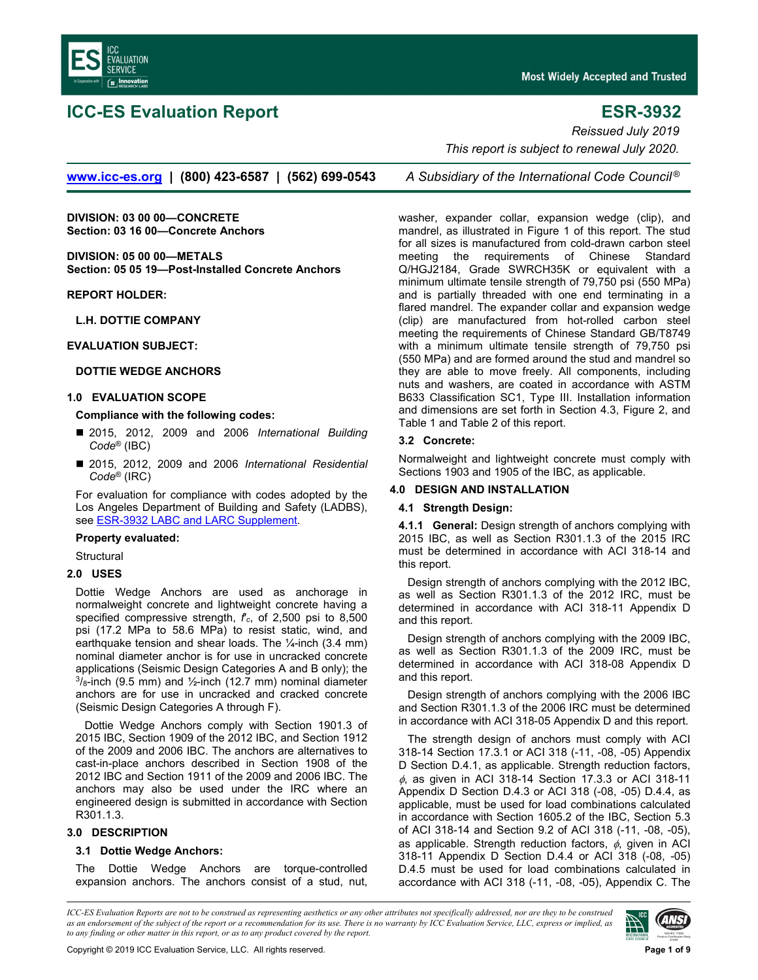<span id="page-0-0"></span>

# **ICC-ES Evaluation Report ESR-3932**

**Most Widely Accepted and Trusted** 

**[www.icc-es.org](http://www.icc-es.org/) | (800) 423-6587 | (562) 699-0543** *A Subsidiary of the International Code Council ®*

**DIVISION: 03 00 00—CONCRETE Section: 03 16 00—Concrete Anchors** 

**DIVISION: 05 00 00—METALS Section: 05 05 19—Post-Installed Concrete Anchors** 

**REPORT HOLDER:** 

**L.H. DOTTIE COMPANY** 

### **EVALUATION SUBJECT:**

### **DOTTIE WEDGE ANCHORS**

# **1.0 EVALUATION SCOPE**

# **Compliance with the following codes:**

- 2015, 2012, 2009 and 2006 *International Building Code*® (IBC)
- 2015, 2012, 2009 and 2006 *International Residential Code*® (IRC)

For evaluation for compliance with codes adopted by the Los Angeles Department of Building and Safety (LADBS), see [ESR-3932 LABC and LARC Supplement](#page-7-0).

#### **Property evaluated:**

**Structural** 

### **2.0 USES**

Dottie Wedge Anchors are used as anchorage in normalweight concrete and lightweight concrete having a specified compressive strength, *f*′*c*, of 2,500 psi to 8,500 psi (17.2 MPa to 58.6 MPa) to resist static, wind, and earthquake tension and shear loads. The  $\frac{1}{4}$ -inch (3.4 mm) nominal diameter anchor is for use in uncracked concrete applications (Seismic Design Categories A and B only); the  $3/8$ -inch (9.5 mm) and  $1/2$ -inch (12.7 mm) nominal diameter anchors are for use in uncracked and cracked concrete (Seismic Design Categories A through F).

Dottie Wedge Anchors comply with Section 1901.3 of 2015 IBC, Section 1909 of the 2012 IBC, and Section 1912 of the 2009 and 2006 IBC. The anchors are alternatives to cast-in-place anchors described in Section 1908 of the 2012 IBC and Section 1911 of the 2009 and 2006 IBC. The anchors may also be used under the IRC where an engineered design is submitted in accordance with Section R301.1.3.

# **3.0 DESCRIPTION**

### **3.1 Dottie Wedge Anchors:**

The Dottie Wedge Anchors are torque-controlled expansion anchors. The anchors consist of a stud, nut,

*Reissued July 2019 This report is subject to renewal July 2020.* 

washer, expander collar, expansion wedge (clip), and mandrel, as illustrated in Figure 1 of this report. The stud for all sizes is manufactured from cold-drawn carbon steel meeting the requirements of Chinese Standard Q/HGJ2184, Grade SWRCH35K or equivalent with a minimum ultimate tensile strength of 79,750 psi (550 MPa) and is partially threaded with one end terminating in a flared mandrel. The expander collar and expansion wedge (clip) are manufactured from hot-rolled carbon steel meeting the requirements of Chinese Standard GB/T8749 with a minimum ultimate tensile strength of 79,750 psi (550 MPa) and are formed around the stud and mandrel so they are able to move freely. All components, including nuts and washers, are coated in accordance with ASTM B633 Classification SC1, Type III. Installation information and dimensions are set forth in Section 4.3, Figure 2, and Table 1 and Table 2 of this report.

### **3.2 Concrete:**

Normalweight and lightweight concrete must comply with Sections 1903 and 1905 of the IBC, as applicable.

# **4.0 DESIGN AND INSTALLATION**

#### **4.1 Strength Design:**

**4.1.1 General:** Design strength of anchors complying with 2015 IBC, as well as Section R301.1.3 of the 2015 IRC must be determined in accordance with ACI 318-14 and this report.

Design strength of anchors complying with the 2012 IBC, as well as Section R301.1.3 of the 2012 IRC, must be determined in accordance with ACI 318-11 Appendix D and this report.

Design strength of anchors complying with the 2009 IBC, as well as Section R301.1.3 of the 2009 IRC, must be determined in accordance with ACI 318-08 Appendix D and this report.

Design strength of anchors complying with the 2006 IBC and Section R301.1.3 of the 2006 IRC must be determined in accordance with ACI 318-05 Appendix D and this report.

The strength design of anchors must comply with ACI 318-14 Section 17.3.1 or ACI 318 (-11, -08, -05) Appendix D Section D.4.1, as applicable. Strength reduction factors,  $\phi$ , as given in ACI 318-14 Section 17.3.3 or ACI 318-11 Appendix D Section D.4.3 or ACI 318 (-08, -05) D.4.4, as applicable, must be used for load combinations calculated in accordance with Section 1605.2 of the IBC, Section 5.3 of ACI 318-14 and Section 9.2 of ACI 318 (-11, -08, -05), as applicable. Strength reduction factors,  $\phi$ , given in ACI 318-11 Appendix D Section D.4.4 or ACI 318 (-08, -05) D.4.5 must be used for load combinations calculated in accordance with ACI 318 (-11, -08, -05), Appendix C. The

*ICC-ES Evaluation Reports are not to be construed as representing aesthetics or any other attributes not specifically addressed, nor are they to be construed as an endorsement of the subject of the report or a recommendation for its use. There is no warranty by ICC Evaluation Service, LLC, express or implied, as to any finding or other matter in this report, or as to any product covered by the report.*

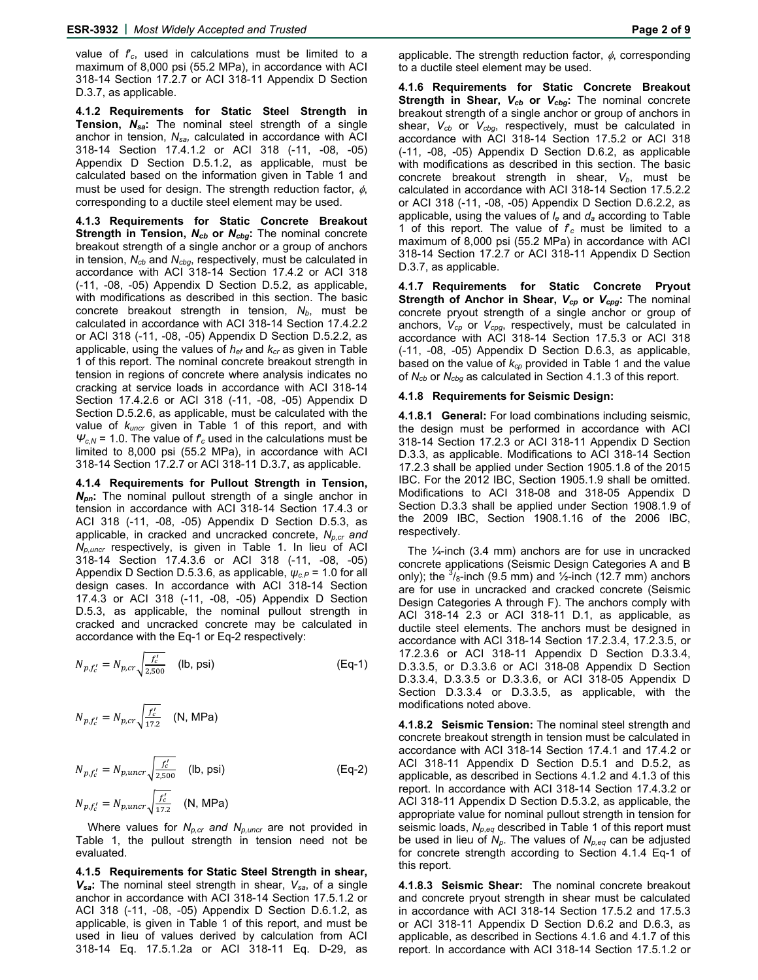value of *f*′*c*, used in calculations must be limited to a maximum of 8,000 psi (55.2 MPa), in accordance with ACI 318-14 Section 17.2.7 or ACI 318-11 Appendix D Section D.3.7, as applicable.

**4.1.2 Requirements for Static Steel Strength in Tension,** *Nsa***:** The nominal steel strength of a single anchor in tension, *Nsa,* calculated in accordance with ACI 318-14 Section 17.4.1.2 or ACI 318 (-11, -08, -05) Appendix D Section D.5.1.2, as applicable, must be calculated based on the information given in Table 1 and must be used for design. The strength reduction factor,  $\phi$ , corresponding to a ductile steel element may be used.

**4.1.3 Requirements for Static Concrete Breakout Strength in Tension, N<sub>cb</sub> or N<sub>cbg</sub>:** The nominal concrete breakout strength of a single anchor or a group of anchors in tension, *Ncb* and *Ncbg*, respectively, must be calculated in accordance with ACI 318-14 Section 17.4.2 or ACI 318 (-11, -08, -05) Appendix D Section D.5.2, as applicable, with modifications as described in this section. The basic concrete breakout strength in tension, N<sub>b</sub>, must be calculated in accordance with ACI 318-14 Section 17.4.2.2 or ACI 318 (-11, -08, -05) Appendix D Section D.5.2.2, as applicable, using the values of *hef* and *kcr* as given in Table 1 of this report. The nominal concrete breakout strength in tension in regions of concrete where analysis indicates no cracking at service loads in accordance with ACI 318-14 Section 17.4.2.6 or ACI 318 (-11, -08, -05) Appendix D Section D.5.2.6, as applicable, must be calculated with the value of *kuncr* given in Table 1 of this report, and with  $\Psi_{c,N}$  = 1.0. The value of  $f_c$  used in the calculations must be limited to 8,000 psi (55.2 MPa), in accordance with ACI 318-14 Section 17.2.7 or ACI 318-11 D.3.7, as applicable.

**4.1.4 Requirements for Pullout Strength in Tension,**  *Npn***:** The nominal pullout strength of a single anchor in tension in accordance with ACI 318-14 Section 17.4.3 or ACI 318 (-11, -08, -05) Appendix D Section D.5.3, as applicable, in cracked and uncracked concrete, *Np,cr and Np,uncr* respectively, is given in Table 1. In lieu of ACI 318-14 Section 17.4.3.6 or ACI 318 (-11, -08, -05) Appendix D Section D.5.3.6, as applicable, *ψc.P* = 1.0 for all design cases. In accordance with ACI 318-14 Section 17.4.3 or ACI 318 (-11, -08, -05) Appendix D Section D.5.3, as applicable, the nominal pullout strength in cracked and uncracked concrete may be calculated in accordance with the Eq-1 or Eq-2 respectively:

$$
N_{p,f'_c} = N_{p,cr} \sqrt{\frac{f'_c}{2,500}} \quad \text{(lb, psi)} \tag{Eq-1}
$$

$$
N_{p,f'_c} = N_{p,cr} \sqrt{\frac{f'_c}{17.2}} \quad (\text{N, MPa})
$$

$$
N_{p,f'_c} = N_{p,uncr} \sqrt{\frac{f'_c}{2,500}}
$$
 (lb, psi) (Eq-2)  

$$
N_{p,f'_c} = N_{p,uncr} \sqrt{\frac{f'_c}{17.2}}
$$
 (N, MPa)

Where values for *N<sub>p,cr</sub>* and *N<sub>p,uncr</sub>* are not provided in Table 1, the pullout strength in tension need not be evaluated.

**4.1.5 Requirements for Static Steel Strength in shear,**  *Vsa***:** The nominal steel strength in shear, *Vsa*, of a single anchor in accordance with ACI 318-14 Section 17.5.1.2 or ACI 318 (-11, -08, -05) Appendix D Section D.6.1.2, as applicable, is given in Table 1 of this report, and must be used in lieu of values derived by calculation from ACI 318-14 Eq. 17.5.1.2a or ACI 318-11 Eq. D-29, as

applicable. The strength reduction factor,  $\phi$ , corresponding to a ductile steel element may be used.

**4.1.6 Requirements for Static Concrete Breakout Strength in Shear,** *Vcb* **or** *Vcbg***:** The nominal concrete breakout strength of a single anchor or group of anchors in shear, *Vcb* or *Vcbg*, respectively, must be calculated in accordance with ACI 318-14 Section 17.5.2 or ACI 318 (-11, -08, -05) Appendix D Section D.6.2, as applicable with modifications as described in this section. The basic concrete breakout strength in shear, V<sub>b</sub>, must be calculated in accordance with ACI 318-14 Section 17.5.2.2 or ACI 318 (-11, -08, -05) Appendix D Section D.6.2.2, as applicable, using the values of *le* and *da* according to Table 1 of this report. The value of  $f_c$  must be limited to a maximum of 8,000 psi (55.2 MPa) in accordance with ACI 318-14 Section 17.2.7 or ACI 318-11 Appendix D Section D.3.7, as applicable.

**4.1.7 Requirements for Static Concrete Pryout Strength of Anchor in Shear,** *Vcp* **or** *Vcpg***:** The nominal concrete pryout strength of a single anchor or group of anchors, *Vcp* or *Vcpg*, respectively, must be calculated in accordance with ACI 318-14 Section 17.5.3 or ACI 318 (-11, -08, -05) Appendix D Section D.6.3, as applicable, based on the value of *kcp* provided in Table 1 and the value of *Ncb* or *Ncbg* as calculated in Section 4.1.3 of this report.

### **4.1.8 Requirements for Seismic Design:**

**4.1.8.1 General:** For load combinations including seismic, the design must be performed in accordance with ACI 318-14 Section 17.2.3 or ACI 318-11 Appendix D Section D.3.3, as applicable. Modifications to ACI 318-14 Section 17.2.3 shall be applied under Section 1905.1.8 of the 2015 IBC. For the 2012 IBC, Section 1905.1.9 shall be omitted. Modifications to ACI 318-08 and 318-05 Appendix D Section D.3.3 shall be applied under Section 1908.1.9 of the 2009 IBC, Section 1908.1.16 of the 2006 IBC, respectively.

The ¼-inch (3.4 mm) anchors are for use in uncracked concrete applications (Seismic Design Categories A and B only); the  $\frac{3}{8}$ -inch (9.5 mm) and  $\frac{1}{2}$ -inch (12.7 mm) anchors are for use in uncracked and cracked concrete (Seismic Design Categories A through F). The anchors comply with ACI 318-14 2.3 or ACI 318-11 D.1, as applicable, as ductile steel elements. The anchors must be designed in accordance with ACI 318-14 Section 17.2.3.4, 17.2.3.5, or 17.2.3.6 or ACI 318-11 Appendix D Section D.3.3.4, D.3.3.5, or D.3.3.6 or ACI 318-08 Appendix D Section D.3.3.4, D.3.3.5 or D.3.3.6, or ACI 318-05 Appendix D Section D.3.3.4 or D.3.3.5, as applicable, with the modifications noted above.

**4.1.8.2 Seismic Tension:** The nominal steel strength and concrete breakout strength in tension must be calculated in accordance with ACI 318-14 Section 17.4.1 and 17.4.2 or ACI 318-11 Appendix D Section D.5.1 and D.5.2, as applicable, as described in Sections 4.1.2 and 4.1.3 of this report. In accordance with ACI 318-14 Section 17.4.3.2 or ACI 318-11 Appendix D Section D.5.3.2, as applicable, the appropriate value for nominal pullout strength in tension for seismic loads, *Np*,*eq* described in Table 1 of this report must be used in lieu of *Np*. The values of *Np,eq* can be adjusted for concrete strength according to Section 4.1.4 Eq-1 of this report.

**4.1.8.3 Seismic Shear:** The nominal concrete breakout and concrete pryout strength in shear must be calculated in accordance with ACI 318-14 Section 17.5.2 and 17.5.3 or ACI 318-11 Appendix D Section D.6.2 and D.6.3, as applicable, as described in Sections 4.1.6 and 4.1.7 of this report. In accordance with ACI 318-14 Section 17.5.1.2 or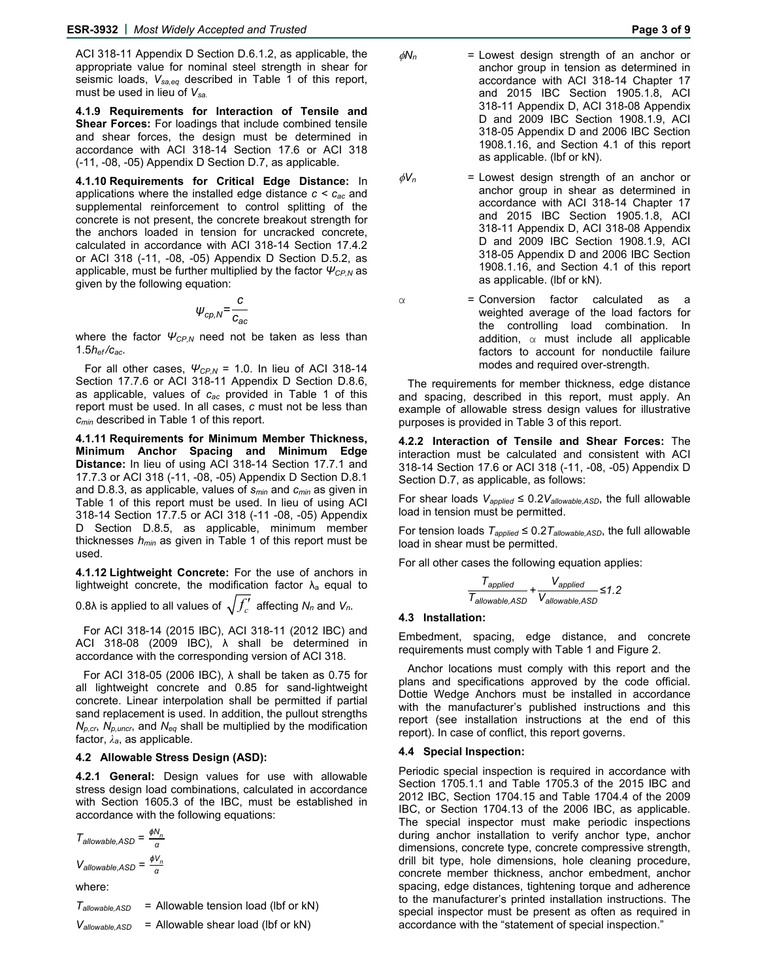ACI 318-11 Appendix D Section D.6.1.2, as applicable, the appropriate value for nominal steel strength in shear for seismic loads, *Vsa,eq* described in Table 1 of this report, must be used in lieu of *Vsa.*

**4.1.9 Requirements for Interaction of Tensile and Shear Forces:** For loadings that include combined tensile and shear forces, the design must be determined in accordance with ACI 318-14 Section 17.6 or ACI 318 (-11, -08, -05) Appendix D Section D.7, as applicable.

**4.1.10 Requirements for Critical Edge Distance:** In applications where the installed edge distance *c < cac* and supplemental reinforcement to control splitting of the concrete is not present, the concrete breakout strength for the anchors loaded in tension for uncracked concrete, calculated in accordance with ACI 318-14 Section 17.4.2 or ACI 318 (-11, -08, -05) Appendix D Section D.5.2, as applicable, must be further multiplied by the factor *ΨCP,N* as given by the following equation:

$$
\psi_{cp,N} = \frac{c}{c_{ac}}
$$

where the factor *ΨCP,N* need not be taken as less than 1.5*hef /cac*.

For all other cases, *ΨCP,N* = 1.0. In lieu of ACI 318-14 Section 17.7.6 or ACI 318-11 Appendix D Section D.8.6, as applicable, values of *cac* provided in Table 1 of this report must be used. In all cases, *c* must not be less than *cmin* described in Table 1 of this report.

**4.1.11 Requirements for Minimum Member Thickness, Minimum Anchor Spacing and Minimum Edge Distance:** In lieu of using ACI 318-14 Section 17.7.1 and 17.7.3 or ACI 318 (-11, -08, -05) Appendix D Section D.8.1 and D.8.3, as applicable, values of *smin* and *cmin* as given in Table 1 of this report must be used. In lieu of using ACI 318-14 Section 17.7.5 or ACI 318 (-11 -08, -05) Appendix D Section D.8.5, as applicable, minimum member thicknesses *hmin* as given in Table 1 of this report must be used.

**4.1.12 Lightweight Concrete:** For the use of anchors in lightweight concrete, the modification factor  $\lambda_a$  equal to

0.8λ is applied to all values of  $\sqrt{f'_c}$  affecting  $N_n$  and  $V_n$ .

For ACI 318-14 (2015 IBC), ACI 318-11 (2012 IBC) and ACI 318-08 (2009 IBC),  $\lambda$  shall be determined in accordance with the corresponding version of ACI 318.

For ACI 318-05 (2006 IBC), λ shall be taken as 0.75 for all lightweight concrete and 0.85 for sand-lightweight concrete. Linear interpolation shall be permitted if partial sand replacement is used. In addition, the pullout strengths *Np,cr*, *Np,uncr*, and *Neq* shall be multiplied by the modification factor, *λa*, as applicable.

### **4.2 Allowable Stress Design (ASD):**

**4.2.1 General:** Design values for use with allowable stress design load combinations, calculated in accordance with Section 1605.3 of the IBC, must be established in accordance with the following equations:

$$
T_{\text{allowable,ASD}} = \frac{\phi N_n}{\alpha}
$$

$$
V_{\text{allowable,ASD}} = \frac{\phi V_n}{\alpha}
$$

where:

 $T_{\text{allowable,ASD}}$  = Allowable tension load (lbf or kN)

$$
V_{\text{allowable,ASD}} = \text{Allowable shear load (lbf or kN)}
$$

- $\phi N_n$  = Lowest design strength of an anchor or anchor group in tension as determined in accordance with ACI 318-14 Chapter 17 and 2015 IBC Section 1905.1.8, ACI 318-11 Appendix D, ACI 318-08 Appendix D and 2009 IBC Section 1908.1.9, ACI 318-05 Appendix D and 2006 IBC Section 1908.1.16, and Section 4.1 of this report as applicable. (lbf or kN).
- $\phi V_n$  = Lowest design strength of an anchor or anchor group in shear as determined in accordance with ACI 318-14 Chapter 17 and 2015 IBC Section 1905.1.8, ACI 318-11 Appendix D, ACI 318-08 Appendix D and 2009 IBC Section 1908.1.9, ACI 318-05 Appendix D and 2006 IBC Section 1908.1.16, and Section 4.1 of this report as applicable. (lbf or kN).
- $\alpha$  = Conversion factor calculated as a weighted average of the load factors for the controlling load combination. In addition,  $\alpha$  must include all applicable factors to account for nonductile failure modes and required over-strength.

The requirements for member thickness, edge distance and spacing, described in this report, must apply. An example of allowable stress design values for illustrative purposes is provided in Table 3 of this report.

**4.2.2 Interaction of Tensile and Shear Forces:** The interaction must be calculated and consistent with ACI 318-14 Section 17.6 or ACI 318 (-11, -08, -05) Appendix D Section D.7, as applicable, as follows:

For shear loads *Vapplied* ≤ 0.2*Vallowable,ASD*, the full allowable load in tension must be permitted.

For tension loads  $T_{applied} \leq 0.2T_{allowable,ASD}$ , the full allowable load in shear must be permitted.

For all other cases the following equation applies:

$$
\frac{\tau_{\text{applied}}}{\tau_{\text{allowable,ASD}}} + \frac{V_{\text{applied}}}{V_{\text{allowable,ASD}}} \le 1.2
$$

### **4.3 Installation:**

Embedment, spacing, edge distance, and concrete requirements must comply with Table 1 and Figure 2.

Anchor locations must comply with this report and the plans and specifications approved by the code official. Dottie Wedge Anchors must be installed in accordance with the manufacturer's published instructions and this report (see installation instructions at the end of this report). In case of conflict, this report governs.

#### **4.4 Special Inspection:**

Periodic special inspection is required in accordance with Section 1705.1.1 and Table 1705.3 of the 2015 IBC and 2012 IBC, Section 1704.15 and Table 1704.4 of the 2009 IBC, or Section 1704.13 of the 2006 IBC, as applicable. The special inspector must make periodic inspections during anchor installation to verify anchor type, anchor dimensions, concrete type, concrete compressive strength, drill bit type, hole dimensions, hole cleaning procedure, concrete member thickness, anchor embedment, anchor spacing, edge distances, tightening torque and adherence to the manufacturer's printed installation instructions. The special inspector must be present as often as required in accordance with the "statement of special inspection."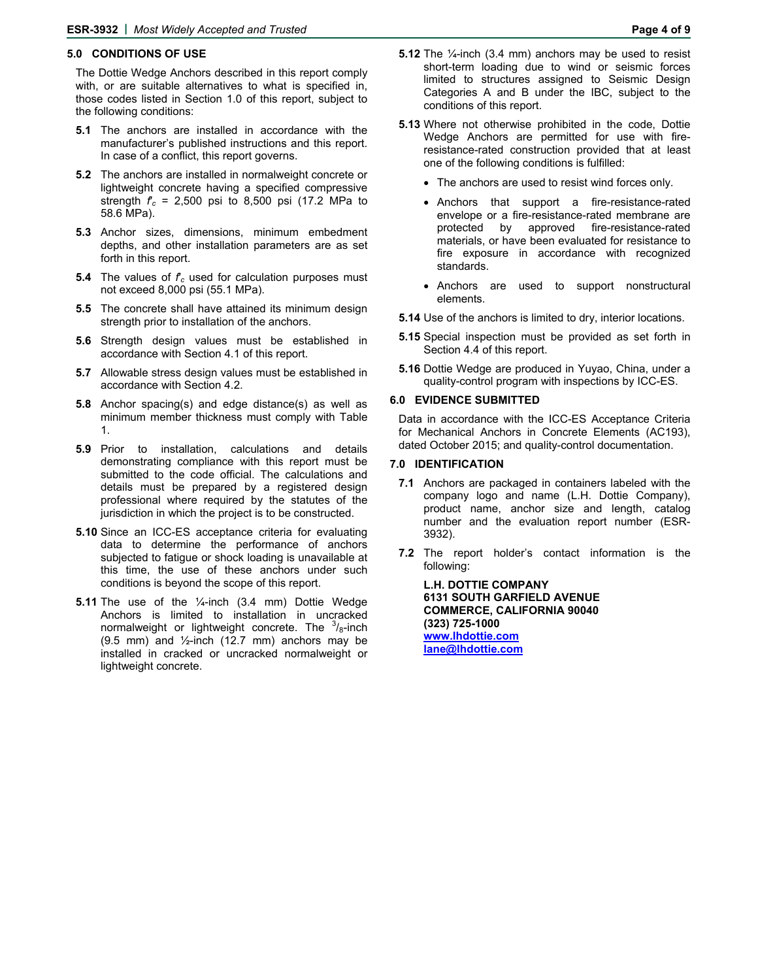# **5.0 CONDITIONS OF USE**

The Dottie Wedge Anchors described in this report comply with, or are suitable alternatives to what is specified in, those codes listed in Section 1.0 of this report, subject to the following conditions:

- **5.1** The anchors are installed in accordance with the manufacturer's published instructions and this report. In case of a conflict, this report governs.
- **5.2** The anchors are installed in normalweight concrete or lightweight concrete having a specified compressive strength  $f_c = 2,500$  psi to 8,500 psi (17.2 MPa to 58.6 MPa).
- **5.3** Anchor sizes, dimensions, minimum embedment depths, and other installation parameters are as set forth in this report.
- **5.4** The values of  $f_c$  used for calculation purposes must not exceed 8,000 psi (55.1 MPa).
- **5.5** The concrete shall have attained its minimum design strength prior to installation of the anchors.
- **5.6** Strength design values must be established in accordance with Section 4.1 of this report.
- **5.7** Allowable stress design values must be established in accordance with Section 4.2.
- **5.8** Anchor spacing(s) and edge distance(s) as well as minimum member thickness must comply with Table 1.
- **5.9** Prior to installation, calculations and details demonstrating compliance with this report must be submitted to the code official. The calculations and details must be prepared by a registered design professional where required by the statutes of the jurisdiction in which the project is to be constructed.
- **5.10** Since an ICC-ES acceptance criteria for evaluating data to determine the performance of anchors subjected to fatigue or shock loading is unavailable at this time, the use of these anchors under such conditions is beyond the scope of this report.
- **5.11** The use of the 1/<sub>4</sub>-inch (3.4 mm) Dottie Wedge Anchors is limited to installation in uncracked normalweight or lightweight concrete. The  $3/8$ -inch  $(9.5 \text{ mm})$  and  $\frac{1}{2}$ -inch  $(12.7 \text{ mm})$  anchors may be installed in cracked or uncracked normalweight or lightweight concrete.
- **5.12** The ¼-inch (3.4 mm) anchors may be used to resist short-term loading due to wind or seismic forces limited to structures assigned to Seismic Design Categories A and B under the IBC, subject to the conditions of this report.
- **5.13** Where not otherwise prohibited in the code, Dottie Wedge Anchors are permitted for use with fireresistance-rated construction provided that at least one of the following conditions is fulfilled:
	- The anchors are used to resist wind forces only.
	- Anchors that support a fire-resistance-rated envelope or a fire-resistance-rated membrane are protected by approved fire-resistance-rated materials, or have been evaluated for resistance to fire exposure in accordance with recognized standards.
	- Anchors are used to support nonstructural elements.
- **5.14** Use of the anchors is limited to dry, interior locations.
- **5.15** Special inspection must be provided as set forth in Section 4.4 of this report.
- **5.16** Dottie Wedge are produced in Yuyao, China, under a quality-control program with inspections by ICC-ES.

### **6.0 EVIDENCE SUBMITTED**

Data in accordance with the ICC-ES Acceptance Criteria for Mechanical Anchors in Concrete Elements (AC193), dated October 2015; and quality-control documentation.

#### **7.0 IDENTIFICATION**

- **7.1** Anchors are packaged in containers labeled with the company logo and name (L.H. Dottie Company), product name, anchor size and length, catalog number and the evaluation report number (ESR-3932).
- **7.2** The report holder's contact information is the following:

**L.H. DOTTIE COMPANY 6131 SOUTH GARFIELD AVENUE COMMERCE, CALIFORNIA 90040 (323) 725-1000 [www.lhdottie.com](http://www.lhdottie.com/) [lane@lhdottie.com](mailto:lane@lhdottie.com)**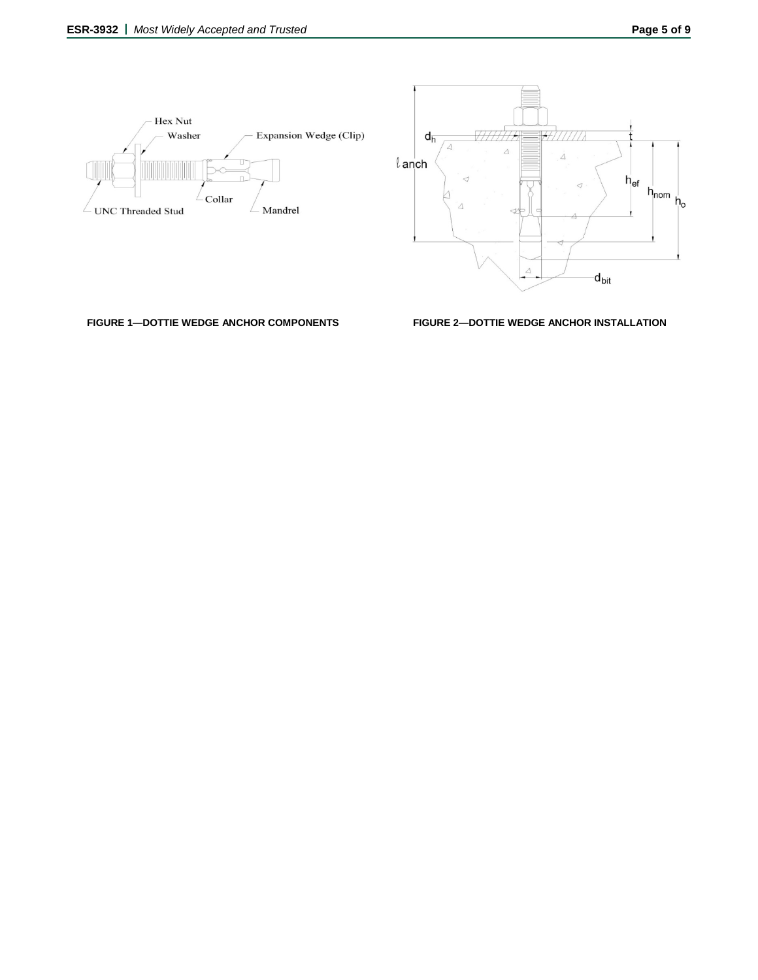



**FIGURE 1—DOTTIE WEDGE ANCHOR COMPONENTS FIGURE 2—DOTTIE WEDGE ANCHOR INSTALLATION**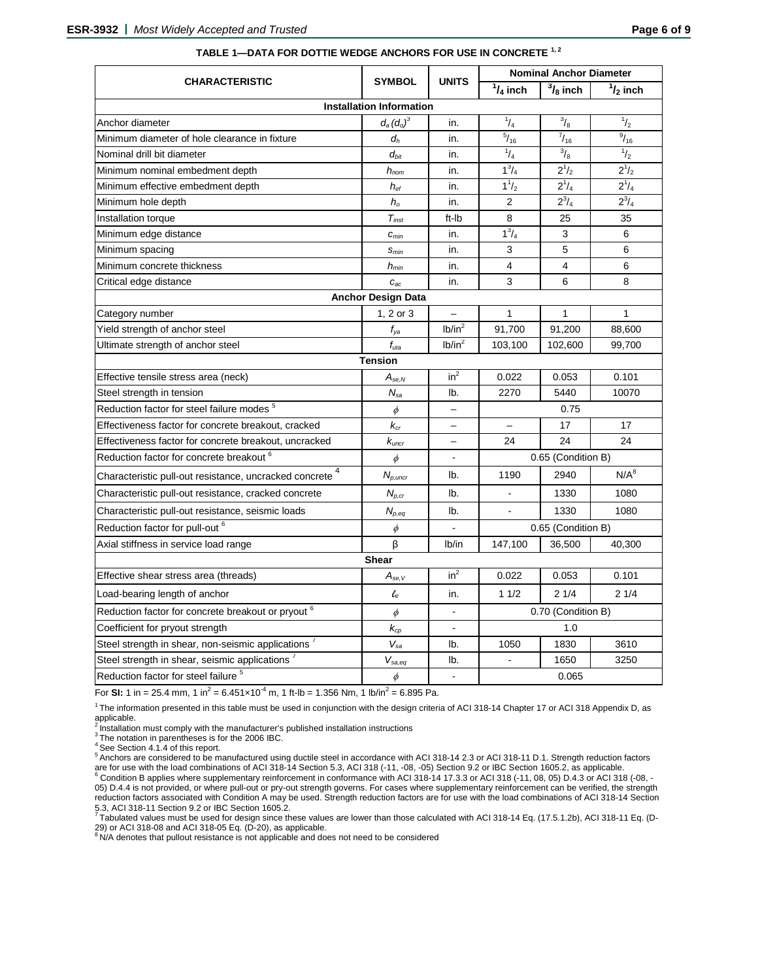|                                                                     |                                 |                          | <b>Nominal Anchor Diameter</b> |                    |               |  |  |
|---------------------------------------------------------------------|---------------------------------|--------------------------|--------------------------------|--------------------|---------------|--|--|
| <b>CHARACTERISTIC</b>                                               | <b>SYMBOL</b>                   | <b>UNITS</b>             | $1/4$ inch                     | $\frac{3}{8}$ inch | $1/2$ inch    |  |  |
|                                                                     | <b>Installation Information</b> |                          |                                |                    |               |  |  |
| Anchor diameter                                                     | $d_a(d_o)^3$                    | in.                      | $^{1}/_{4}$                    | $\frac{3}{8}$      | $\frac{1}{2}$ |  |  |
| Minimum diameter of hole clearance in fixture                       | $d_h$                           | in.                      | $^{5}/_{16}$                   | $\frac{7}{16}$     | $^{9}/_{16}$  |  |  |
| Nominal drill bit diameter                                          | $d_{bit}$                       | in.                      | $^{1}/_{4}$                    | $\frac{3}{8}$      | $\frac{1}{2}$ |  |  |
| Minimum nominal embedment depth                                     | $h_{nom}$                       | in.                      | $1^{3}/_{4}$                   | $2^{1/2}$          | $2^{1/2}$     |  |  |
| Minimum effective embedment depth                                   | $h_{\text{ef}}$                 | in.                      | $1^{1}/_{2}$                   | $2^{1}/_{4}$       | $2^{1}/_{4}$  |  |  |
| Minimum hole depth                                                  | $h_{\rm o}$                     | in.                      | 2                              | $2^{3}/_{4}$       | $2^{3}/_{4}$  |  |  |
| Installation torque                                                 | $T_{inst}$                      | ft-Ib                    | 8                              | 25                 | 35            |  |  |
| Minimum edge distance                                               | $c_{\text{min}}$                | in.                      | $1^3/4$                        | 3                  | 6             |  |  |
| Minimum spacing                                                     | $S_{min}$                       | in.                      | 3                              | 5                  | 6             |  |  |
| Minimum concrete thickness                                          | $h_{min}$                       | in.                      | 4                              | 4                  | 6             |  |  |
| Critical edge distance                                              | $C_{ac}$                        | in.                      | 3                              | 6                  | 8             |  |  |
|                                                                     | <b>Anchor Design Data</b>       |                          |                                |                    |               |  |  |
| Category number                                                     | 1, 2 or 3                       |                          | $\mathbf{1}$                   | 1                  | $\mathbf{1}$  |  |  |
| Yield strength of anchor steel                                      | $f_{ya}$                        | lb/in <sup>2</sup>       | 91,700                         | 91,200             | 88,600        |  |  |
| Ultimate strength of anchor steel                                   | $f_{uta}$                       | Ib/in <sup>2</sup>       | 103,100                        | 102,600            | 99,700        |  |  |
|                                                                     | <b>Tension</b>                  |                          |                                |                    |               |  |  |
| Effective tensile stress area (neck)                                | $A_{se,N}$                      | in <sup>2</sup>          | 0.022                          | 0.053              | 0.101         |  |  |
| Steel strength in tension                                           | $N_{sa}$                        | lb.                      | 2270                           | 5440               | 10070         |  |  |
| Reduction factor for steel failure modes <sup>5</sup>               | $\phi$                          |                          |                                | 0.75               |               |  |  |
| Effectiveness factor for concrete breakout, cracked                 | $k_{cr}$                        | $\overline{a}$           | 17<br>$\overline{\phantom{0}}$ |                    | 17            |  |  |
| Effectiveness factor for concrete breakout, uncracked               | $k_{\textit{uncr}}$             | $\overline{\phantom{0}}$ | 24                             | 24                 | 24            |  |  |
| Reduction factor for concrete breakout <sup>6</sup>                 | 0.65 (Condition B)              |                          |                                |                    |               |  |  |
| Characteristic pull-out resistance, uncracked concrete <sup>4</sup> | $N_{p,uncr}$                    | lb.                      | 1190                           | 2940               | $N/A^8$       |  |  |
| Characteristic pull-out resistance, cracked concrete                | $N_{p,cr}$                      | lb.                      |                                | 1330               | 1080          |  |  |
| Characteristic pull-out resistance, seismic loads                   | $N_{p,eq}$                      | lb.                      |                                | 1330               | 1080          |  |  |
| Reduction factor for pull-out 6                                     | $\phi$                          |                          | 0.65 (Condition B)             |                    |               |  |  |
| Axial stiffness in service load range                               | β                               | lb/in                    | 147,100                        | 36,500             | 40,300        |  |  |
|                                                                     | <b>Shear</b>                    |                          |                                |                    |               |  |  |
| Effective shear stress area (threads)                               | $A_{se,V}$                      | $in^2$                   | 0.022                          | 0.053              | 0.101         |  |  |
| Load-bearing length of anchor                                       | $\ell_{\rm e}$                  | in.                      | 11/2                           | 21/4               | 21/4          |  |  |
| Reduction factor for concrete breakout or pryout <sup>6</sup>       | $\phi$                          | $\blacksquare$           | 0.70 (Condition B)             |                    |               |  |  |
| Coefficient for pryout strength                                     | $k_{cp}$                        | ÷,                       |                                | 1.0                |               |  |  |
| Steel strength in shear, non-seismic applications <sup>7</sup>      | $V_{sa}$                        | lb.                      | 1050                           | 1830               | 3610          |  |  |
| Steel strength in shear, seismic applications <sup>7</sup>          | $V_{sa,eq}$                     | lb.                      | $\sim$                         | 1650               | 3250          |  |  |
| Reduction factor for steel failure <sup>5</sup>                     | $\phi$                          | $\overline{a}$           |                                | 0.065              |               |  |  |

# **TABLE 1—DATA FOR DOTTIE WEDGE ANCHORS FOR USE IN CONCRETE 1, <sup>2</sup>**

For **SI:** 1 in = 25.4 mm, 1 in<sup>2</sup> = 6.451×10<sup>-4</sup> m, 1 ft-lb = 1.356 Nm, 1 lb/in<sup>2</sup> = 6.895 Pa.

<sup>1</sup> The information presented in this table must be used in conjunction with the design criteria of ACI 318-14 Chapter 17 or ACI 318 Appendix D, as applicable.<br><sup>2</sup> Installation must comply with the manufacturer's published installation instructions

 $3$  The notation in parentheses is for the 2006 IBC.

<sup>4</sup> See Section 4.1.4 of this report.

5 Anchors are considered to be manufactured using ductile steel in accordance with ACI 318-14 2.3 or ACI 318-11 D.1. Strength reduction factors are for use with the load combinations of ACI 318-14 Section 5.3, ACI 318 (-11, -08, -05) Section 9.2 or IBC Section 1605.2, as applicable.<br><sup>6</sup> Condition B applies where supplementary reinforcement in conformance with ACI 05) D.4.4 is not provided, or where pull-out or pry-out strength governs. For cases where supplementary reinforcement can be verified, the strength reduction factors associated with Condition A may be used. Strength reduction factors are for use with the load combinations of ACI 318-14 Section

5.3, ACI 318-11 Section 9.2 or IBC Section 1605.2. 7 Tabulated values must be used for design since these values are lower than those calculated with ACI 318-14 Eq. (17.5.1.2b), ACI 318-11 Eq. (D-29) or ACI 318-08 and ACI 318-05 Eq. (D-20), as applicable.<br><sup>8</sup> N/A denotes that pullout resistance is not applicable and does not need to be considered<br><sup>8</sup> N/A denotes that pullout resistance is not applicable and does no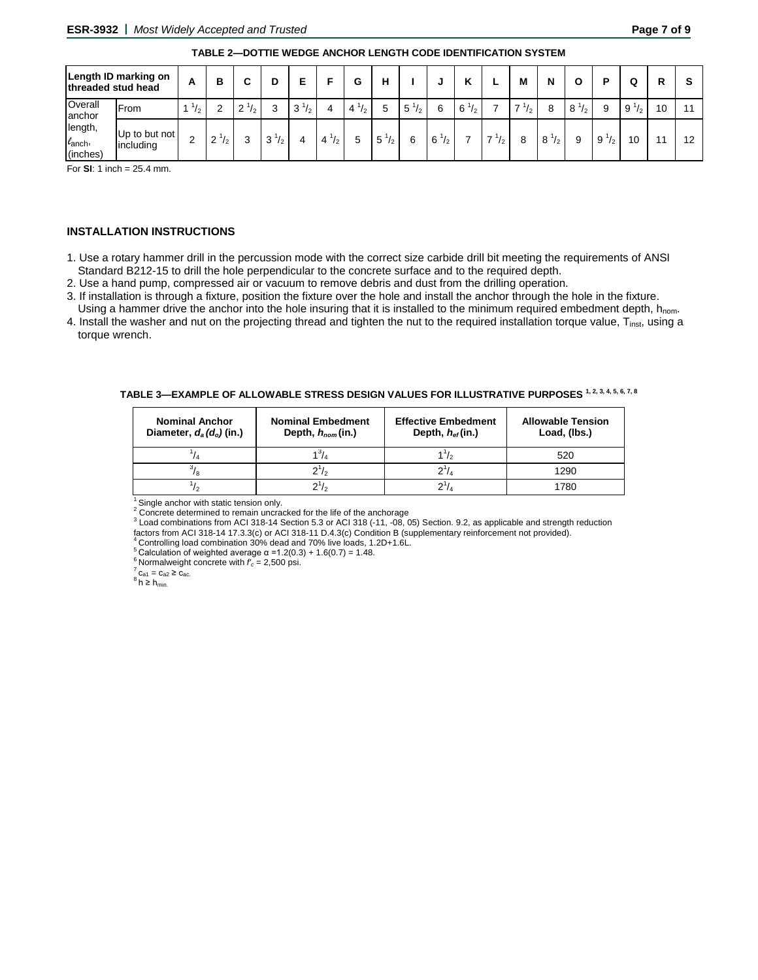| TABLE 2-DOTTIE WEDGE ANCHOR LENGTH CODE IDENTIFICATION SYSTEM |
|---------------------------------------------------------------|
|---------------------------------------------------------------|

| threaded stud head                          | Length ID marking on       | A             | в                     | ∼       | D         | E         |                                 | G            | н        |                   |           | v<br>n              |                                | M                              | N                            | Ο            | D               | Q            | R  |     |
|---------------------------------------------|----------------------------|---------------|-----------------------|---------|-----------|-----------|---------------------------------|--------------|----------|-------------------|-----------|---------------------|--------------------------------|--------------------------------|------------------------------|--------------|-----------------|--------------|----|-----|
| Overall<br>anchor                           | <b>IFrom</b>               | $\frac{1}{2}$ | ◠                     | ົ<br>12 | 3         | $3^{1/2}$ | 4                               | 4<br>12      | 5        | $5^{\circ}$<br>12 | 6         | $6^{\degree}$<br>12 |                                | $\overline{\phantom{a}}$<br>12 |                              | $8^{1}/_{2}$ | 9               | $9^{1}/_{2}$ | 10 | -44 |
| length,<br>$\ell_{\text{anch}}$<br>(inches) | Up to but not<br>including | C             | $2^{\circ}$<br>$\sim$ |         | $3^{1/2}$ |           | $4^{\frac{1}{2}}$<br>$\sqrt{2}$ | <sub>5</sub> | 5<br>1/2 | 6                 | $6^{1/2}$ |                     | $\overline{\phantom{a}}$<br>12 | 8                              | 8 <sup>1</sup><br>$\sqrt{2}$ | 9            | 9<br>$\sqrt{2}$ | 10           |    | 12  |

For **SI**: 1 inch = 25.4 mm.

# **INSTALLATION INSTRUCTIONS**

- 1. Use a rotary hammer drill in the percussion mode with the correct size carbide drill bit meeting the requirements of ANSI Standard B212-15 to drill the hole perpendicular to the concrete surface and to the required depth.
- 2. Use a hand pump, compressed air or vacuum to remove debris and dust from the drilling operation.
- 3. If installation is through a fixture, position the fixture over the hole and install the anchor through the hole in the fixture.
- Using a hammer drive the anchor into the hole insuring that it is installed to the minimum required embedment depth,  $h_{\text{nom}}$ . 4. Install the washer and nut on the projecting thread and tighten the nut to the required installation torque value, T<sub>inst</sub>, using a torque wrench.

| TABLE 3—EXAMPLE OF ALLOWABLE STRESS DESIGN VALUES FOR ILLUSTRATIVE PURPOSES $^{\boldsymbol{1},\boldsymbol{2},\boldsymbol{3},\boldsymbol{4},\boldsymbol{5},\boldsymbol{6},\boldsymbol{7},\boldsymbol{8}}$ |  |
|----------------------------------------------------------------------------------------------------------------------------------------------------------------------------------------------------------|--|
|----------------------------------------------------------------------------------------------------------------------------------------------------------------------------------------------------------|--|

| <b>Nominal Anchor</b><br>Diameter, $d_a(d_o)$ (in.) | <b>Nominal Embedment</b><br>Depth, $h_{nom}(in.)$ | <b>Effective Embedment</b><br>Depth, $h_{ef}$ (in.) | <b>Allowable Tension</b><br>Load, (lbs.) |
|-----------------------------------------------------|---------------------------------------------------|-----------------------------------------------------|------------------------------------------|
|                                                     |                                                   |                                                     | 520                                      |
|                                                     | $2^1/2$                                           |                                                     | 1290                                     |
|                                                     |                                                   |                                                     | 1780                                     |

<sup>1</sup> Single anchor with static tension only.<br><sup>2</sup> Concrete determined to remain uncracked for the life of the anchorage

 $3$  Load combinations from ACI 318-14 Section 5.3 or ACI 318 (-11, -08, 05) Section. 9.2, as applicable and strength reduction factors from ACI 318-14 17.3.3(c) or ACI 318-11 D.4.3(c) Condition B (supplementary reinforcem

<sup>4</sup> Controlling load combination 30% dead and 70% live loads, 1.2D+1.6L.<br>
<sup>5</sup> Calculation of weighted average  $\alpha$  =1.2(0.3) + 1.6(0.7) = 1.48.<br>
<sup>6</sup> Normalweight concrete with  $f_c$  = 2,500 psi.<br>  $\frac{7}{10}$  C<sub>a1</sub> = C<sub>a2</sub> ≥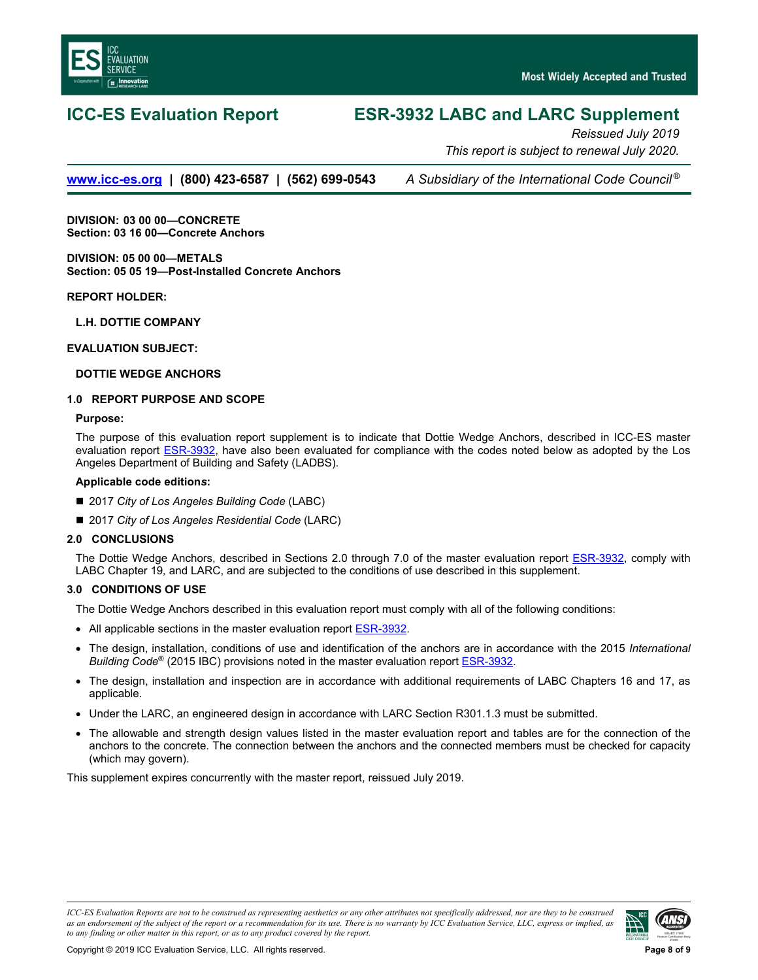<span id="page-7-0"></span>

# **ICC-ES Evaluation Report ESR-3932 LABC and LARC Supplement**

*Reissued July 2019 This report is subject to renewal July 2020.* 

**[www.icc-es.org](http://www.icc-es.org/) | (800) 423-6587 | (562) 699-0543** *A Subsidiary of the International Code Council ®*

**DIVISION: 03 00 00—CONCRETE Section: 03 16 00—Concrete Anchors** 

**DIVISION: 05 00 00—METALS Section: 05 05 19—Post-Installed Concrete Anchors** 

**REPORT HOLDER:** 

**L.H. DOTTIE COMPANY** 

**EVALUATION SUBJECT:** 

# **DOTTIE WEDGE ANCHORS**

# **1.0 REPORT PURPOSE AND SCOPE**

### **Purpose:**

The purpose of this evaluation report supplement is to indicate that Dottie Wedge Anchors, described in ICC-ES master evaluation report **ESR-3932**, have also been evaluated for compliance with the codes noted below as adopted by the Los Angeles Department of Building and Safety (LADBS).

# **Applicable code edition***s***:**

- 2017 *City of Los Angeles Building Code* (LABC)
- 2017 *City of Los Angeles Residential Code* (LARC)

# **2.0 CONCLUSIONS**

The Dottie Wedge Anchors, described in Sections 2.0 through 7.0 of the master evaluation report [ESR-3932](#page-0-0), comply with LABC Chapter 19*,* and LARC, and are subjected to the conditions of use described in this supplement.

# **3.0 CONDITIONS OF USE**

The Dottie Wedge Anchors described in this evaluation report must comply with all of the following conditions:

- All applicable sections in the master evaluation report [ESR-3932.](#page-0-0)
- The design, installation, conditions of use and identification of the anchors are in accordance with the 2015 *International Building Code*® (2015 IBC) provisions noted in the master evaluation report [ESR-3932.](#page-0-0)
- The design, installation and inspection are in accordance with additional requirements of LABC Chapters 16 and 17, as applicable.
- Under the LARC, an engineered design in accordance with LARC Section R301.1.3 must be submitted.
- The allowable and strength design values listed in the master evaluation report and tables are for the connection of the anchors to the concrete. The connection between the anchors and the connected members must be checked for capacity (which may govern).

This supplement expires concurrently with the master report, reissued July 2019.